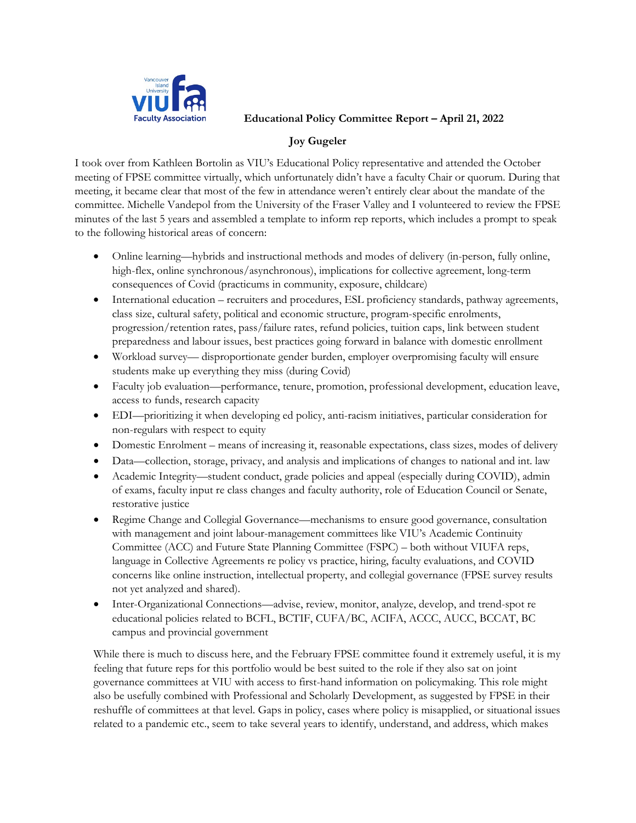

**Educational Policy Committee Report – April 21, 2022**

## **Joy Gugeler**

I took over from Kathleen Bortolin as VIU's Educational Policy representative and attended the October meeting of FPSE committee virtually, which unfortunately didn't have a faculty Chair or quorum. During that meeting, it became clear that most of the few in attendance weren't entirely clear about the mandate of the committee. Michelle Vandepol from the University of the Fraser Valley and I volunteered to review the FPSE minutes of the last 5 years and assembled a template to inform rep reports, which includes a prompt to speak to the following historical areas of concern:

- Online learning—hybrids and instructional methods and modes of delivery (in-person, fully online, high-flex, online synchronous/asynchronous), implications for collective agreement, long-term consequences of Covid (practicums in community, exposure, childcare)
- International education recruiters and procedures, ESL proficiency standards, pathway agreements, class size, cultural safety, political and economic structure, program-specific enrolments, progression/retention rates, pass/failure rates, refund policies, tuition caps, link between student preparedness and labour issues, best practices going forward in balance with domestic enrollment
- Workload survey— disproportionate gender burden, employer overpromising faculty will ensure students make up everything they miss (during Covid)
- Faculty job evaluation—performance, tenure, promotion, professional development, education leave, access to funds, research capacity
- EDI—prioritizing it when developing ed policy, anti-racism initiatives, particular consideration for non-regulars with respect to equity
- Domestic Enrolment means of increasing it, reasonable expectations, class sizes, modes of delivery
- Data—collection, storage, privacy, and analysis and implications of changes to national and int. law
- Academic Integrity—student conduct, grade policies and appeal (especially during COVID), admin of exams, faculty input re class changes and faculty authority, role of Education Council or Senate, restorative justice
- Regime Change and Collegial Governance—mechanisms to ensure good governance, consultation with management and joint labour-management committees like VIU's Academic Continuity Committee (ACC) and Future State Planning Committee (FSPC) – both without VIUFA reps, language in Collective Agreements re policy vs practice, hiring, faculty evaluations, and COVID concerns like online instruction, intellectual property, and collegial governance (FPSE survey results not yet analyzed and shared).
- Inter-Organizational Connections—advise, review, monitor, analyze, develop, and trend-spot re educational policies related to BCFL, BCTIF, CUFA/BC, ACIFA, ACCC, AUCC, BCCAT, BC campus and provincial government

While there is much to discuss here, and the February FPSE committee found it extremely useful, it is my feeling that future reps for this portfolio would be best suited to the role if they also sat on joint governance committees at VIU with access to first-hand information on policymaking. This role might also be usefully combined with Professional and Scholarly Development, as suggested by FPSE in their reshuffle of committees at that level. Gaps in policy, cases where policy is misapplied, or situational issues related to a pandemic etc., seem to take several years to identify, understand, and address, which makes